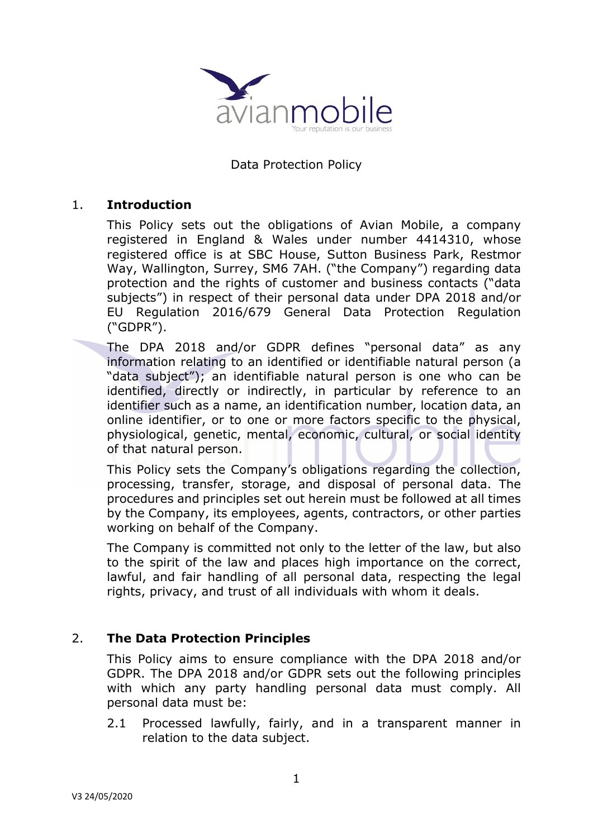

#### Data Protection Policy

#### 1. **Introduction**

This Policy sets out the obligations of Avian Mobile, a company registered in England & Wales under number 4414310, whose registered office is at SBC House, Sutton Business Park, Restmor Way, Wallington, Surrey, SM6 7AH. ("the Company") regarding data protection and the rights of customer and business contacts ("data subjects") in respect of their personal data under DPA 2018 and/or EU Regulation 2016/679 General Data Protection Regulation ("GDPR").

The DPA 2018 and/or GDPR defines "personal data" as any information relating to an identified or identifiable natural person (a "data subject"); an identifiable natural person is one who can be identified, directly or indirectly, in particular by reference to an identifier such as a name, an identification number, location data, an online identifier, or to one or more factors specific to the physical, physiological, genetic, mental, economic, cultural, or social identity of that natural person.

This Policy sets the Company's obligations regarding the collection, processing, transfer, storage, and disposal of personal data. The procedures and principles set out herein must be followed at all times by the Company, its employees, agents, contractors, or other parties working on behalf of the Company.

The Company is committed not only to the letter of the law, but also to the spirit of the law and places high importance on the correct, lawful, and fair handling of all personal data, respecting the legal rights, privacy, and trust of all individuals with whom it deals.

### 2. **The Data Protection Principles**

This Policy aims to ensure compliance with the DPA 2018 and/or GDPR. The DPA 2018 and/or GDPR sets out the following principles with which any party handling personal data must comply. All personal data must be:

2.1 Processed lawfully, fairly, and in a transparent manner in relation to the data subject.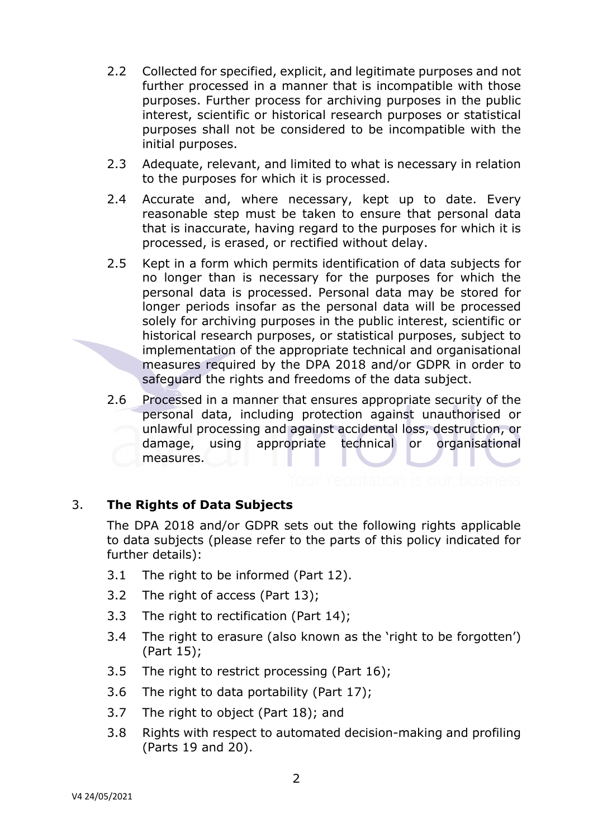- 2.2 Collected for specified, explicit, and legitimate purposes and not further processed in a manner that is incompatible with those purposes. Further process for archiving purposes in the public interest, scientific or historical research purposes or statistical purposes shall not be considered to be incompatible with the initial purposes.
- 2.3 Adequate, relevant, and limited to what is necessary in relation to the purposes for which it is processed.
- 2.4 Accurate and, where necessary, kept up to date. Every reasonable step must be taken to ensure that personal data that is inaccurate, having regard to the purposes for which it is processed, is erased, or rectified without delay.
- 2.5 Kept in a form which permits identification of data subjects for no longer than is necessary for the purposes for which the personal data is processed. Personal data may be stored for longer periods insofar as the personal data will be processed solely for archiving purposes in the public interest, scientific or historical research purposes, or statistical purposes, subject to implementation of the appropriate technical and organisational measures required by the DPA 2018 and/or GDPR in order to safeguard the rights and freedoms of the data subject.
- 2.6 Processed in a manner that ensures appropriate security of the personal data, including protection against unauthorised or unlawful processing and against accidental loss, destruction, or damage, using appropriate technical or organisational measures.

### 3. **The Rights of Data Subjects**

The DPA 2018 and/or GDPR sets out the following rights applicable to data subjects (please refer to the parts of this policy indicated for further details):

- 3.1 The right to be informed (Part 12).
- 3.2 The right of access (Part 13);
- 3.3 The right to rectification (Part 14);
- 3.4 The right to erasure (also known as the 'right to be forgotten') (Part 15);
- 3.5 The right to restrict processing (Part 16);
- 3.6 The right to data portability (Part 17);
- 3.7 The right to object (Part 18); and
- 3.8 Rights with respect to automated decision-making and profiling (Parts 19 and 20).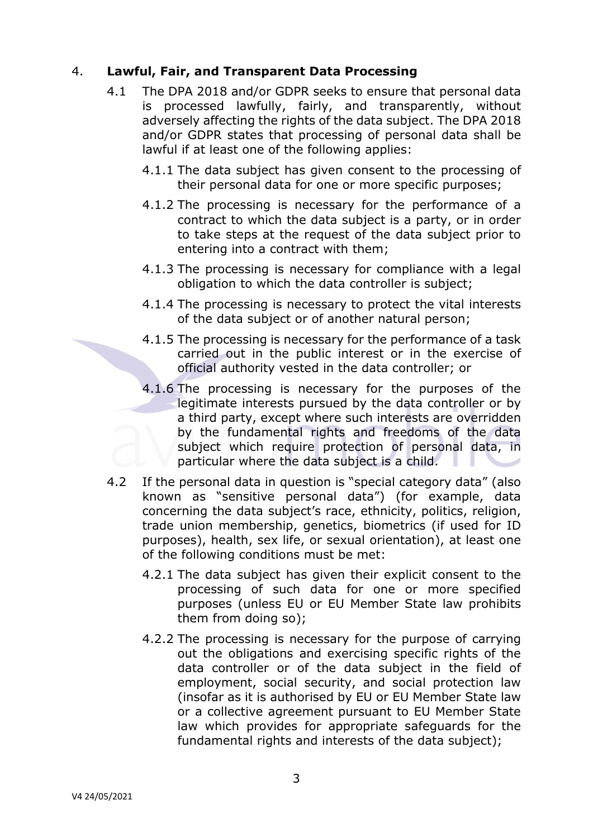## 4. **Lawful, Fair, and Transparent Data Processing**

- 4.1 The DPA 2018 and/or GDPR seeks to ensure that personal data is processed lawfully, fairly, and transparently, without adversely affecting the rights of the data subject. The DPA 2018 and/or GDPR states that processing of personal data shall be lawful if at least one of the following applies:
	- 4.1.1 The data subject has given consent to the processing of their personal data for one or more specific purposes;
	- 4.1.2 The processing is necessary for the performance of a contract to which the data subject is a party, or in order to take steps at the request of the data subject prior to entering into a contract with them;
	- 4.1.3 The processing is necessary for compliance with a legal obligation to which the data controller is subject;
	- 4.1.4 The processing is necessary to protect the vital interests of the data subject or of another natural person;
	- 4.1.5 The processing is necessary for the performance of a task carried out in the public interest or in the exercise of official authority vested in the data controller; or
	- 4.1.6 The processing is necessary for the purposes of the legitimate interests pursued by the data controller or by a third party, except where such interests are overridden by the fundamental rights and freedoms of the data subject which require protection of personal data, in particular where the data subject is a child.
- 4.2 If the personal data in question is "special category data" (also known as "sensitive personal data") (for example, data concerning the data subject's race, ethnicity, politics, religion, trade union membership, genetics, biometrics (if used for ID purposes), health, sex life, or sexual orientation), at least one of the following conditions must be met:
	- 4.2.1 The data subject has given their explicit consent to the processing of such data for one or more specified purposes (unless EU or EU Member State law prohibits them from doing so);
	- 4.2.2 The processing is necessary for the purpose of carrying out the obligations and exercising specific rights of the data controller or of the data subject in the field of employment, social security, and social protection law (insofar as it is authorised by EU or EU Member State law or a collective agreement pursuant to EU Member State law which provides for appropriate safeguards for the fundamental rights and interests of the data subject);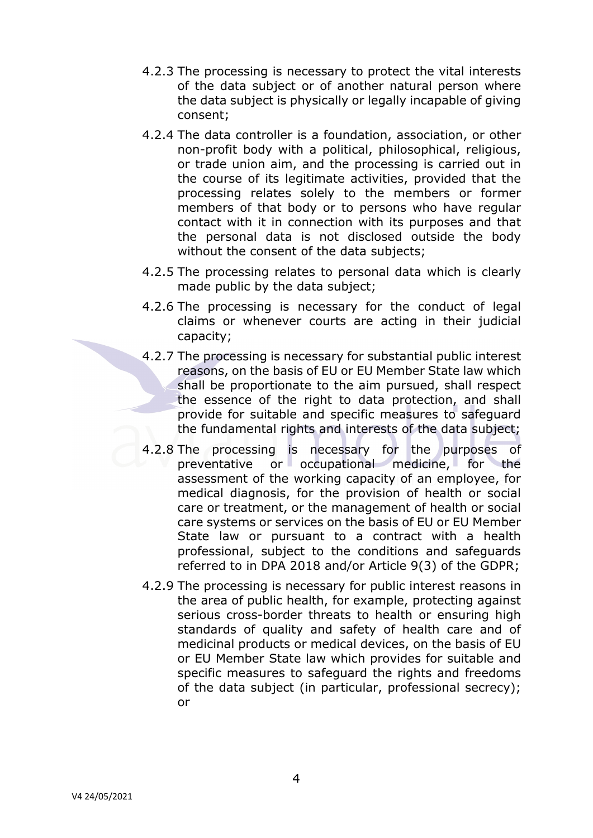- 4.2.3 The processing is necessary to protect the vital interests of the data subject or of another natural person where the data subject is physically or legally incapable of giving consent;
- 4.2.4 The data controller is a foundation, association, or other non-profit body with a political, philosophical, religious, or trade union aim, and the processing is carried out in the course of its legitimate activities, provided that the processing relates solely to the members or former members of that body or to persons who have regular contact with it in connection with its purposes and that the personal data is not disclosed outside the body without the consent of the data subjects;
- 4.2.5 The processing relates to personal data which is clearly made public by the data subject;
- 4.2.6 The processing is necessary for the conduct of legal claims or whenever courts are acting in their judicial capacity;
- 4.2.7 The processing is necessary for substantial public interest reasons, on the basis of EU or EU Member State law which shall be proportionate to the aim pursued, shall respect the essence of the right to data protection, and shall provide for suitable and specific measures to safeguard the fundamental rights and interests of the data subject;
- 4.2.8 The processing is necessary for the purposes of preventative or occupational medicine, for the assessment of the working capacity of an employee, for medical diagnosis, for the provision of health or social care or treatment, or the management of health or social care systems or services on the basis of EU or EU Member State law or pursuant to a contract with a health professional, subject to the conditions and safeguards referred to in DPA 2018 and/or Article 9(3) of the GDPR;
- 4.2.9 The processing is necessary for public interest reasons in the area of public health, for example, protecting against serious cross-border threats to health or ensuring high standards of quality and safety of health care and of medicinal products or medical devices, on the basis of EU or EU Member State law which provides for suitable and specific measures to safeguard the rights and freedoms of the data subject (in particular, professional secrecy); or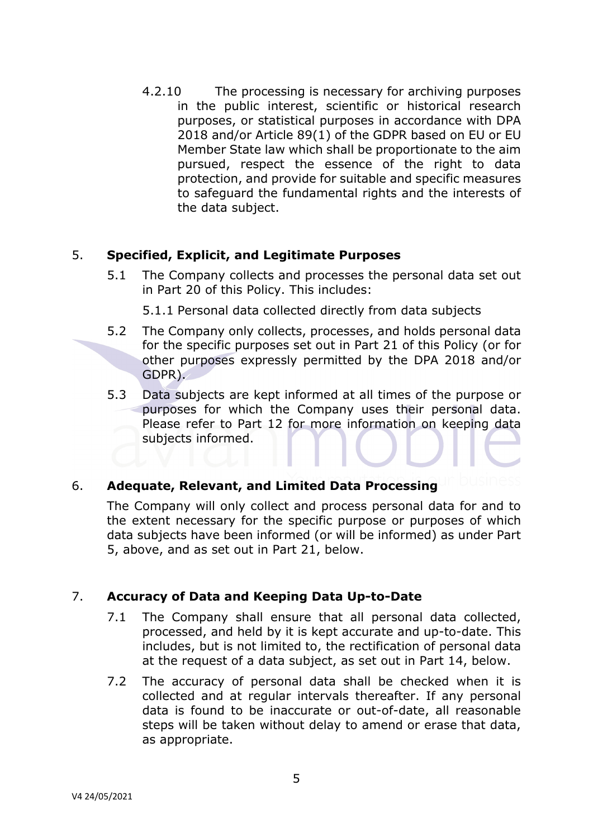4.2.10 The processing is necessary for archiving purposes in the public interest, scientific or historical research purposes, or statistical purposes in accordance with DPA 2018 and/or Article 89(1) of the GDPR based on EU or EU Member State law which shall be proportionate to the aim pursued, respect the essence of the right to data protection, and provide for suitable and specific measures to safeguard the fundamental rights and the interests of the data subject.

## 5. **Specified, Explicit, and Legitimate Purposes**

5.1 The Company collects and processes the personal data set out in Part 20 of this Policy. This includes:

5.1.1 Personal data collected directly from data subjects

- 5.2 The Company only collects, processes, and holds personal data for the specific purposes set out in Part 21 of this Policy (or for other purposes expressly permitted by the DPA 2018 and/or GDPR).
- 5.3 Data subjects are kept informed at all times of the purpose or purposes for which the Company uses their personal data. Please refer to Part 12 for more information on keeping data subjects informed.

# 6. **Adequate, Relevant, and Limited Data Processing**

The Company will only collect and process personal data for and to the extent necessary for the specific purpose or purposes of which data subjects have been informed (or will be informed) as under Part 5, above, and as set out in Part 21, below.

# 7. **Accuracy of Data and Keeping Data Up-to-Date**

- 7.1 The Company shall ensure that all personal data collected, processed, and held by it is kept accurate and up-to-date. This includes, but is not limited to, the rectification of personal data at the request of a data subject, as set out in Part 14, below.
- 7.2 The accuracy of personal data shall be checked when it is collected and at regular intervals thereafter. If any personal data is found to be inaccurate or out-of-date, all reasonable steps will be taken without delay to amend or erase that data, as appropriate.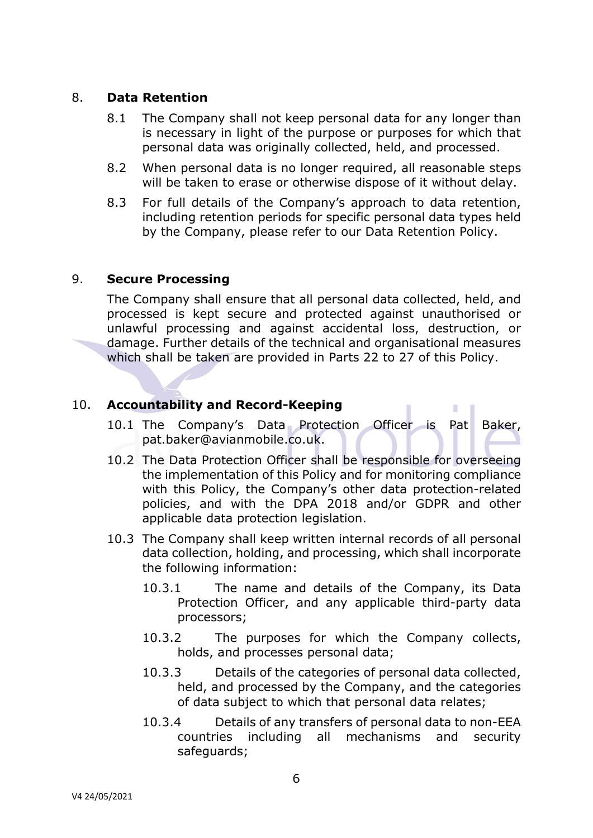### 8. **Data Retention**

- 8.1 The Company shall not keep personal data for any longer than is necessary in light of the purpose or purposes for which that personal data was originally collected, held, and processed.
- 8.2 When personal data is no longer required, all reasonable steps will be taken to erase or otherwise dispose of it without delay.
- 8.3 For full details of the Company's approach to data retention, including retention periods for specific personal data types held by the Company, please refer to our Data Retention Policy.

## 9. **Secure Processing**

The Company shall ensure that all personal data collected, held, and processed is kept secure and protected against unauthorised or unlawful processing and against accidental loss, destruction, or damage. Further details of the technical and organisational measures which shall be taken are provided in Parts 22 to 27 of this Policy.

# 10. **Accountability and Record-Keeping**

10.1 The Company's Data Protection Officer is Pat Baker, pat.baker@avianmobile.co.uk.

 $\mathcal{L}_{\mathcal{A}}$ 

- 10.2 The Data Protection Officer shall be responsible for overseeing the implementation of this Policy and for monitoring compliance with this Policy, the Company's other data protection-related policies, and with the DPA 2018 and/or GDPR and other applicable data protection legislation.
- 10.3 The Company shall keep written internal records of all personal data collection, holding, and processing, which shall incorporate the following information:
	- 10.3.1 The name and details of the Company, its Data Protection Officer, and any applicable third-party data processors;
	- 10.3.2 The purposes for which the Company collects, holds, and processes personal data;
	- 10.3.3 Details of the categories of personal data collected, held, and processed by the Company, and the categories of data subject to which that personal data relates;
	- 10.3.4 Details of any transfers of personal data to non-EEA countries including all mechanisms and security safeguards;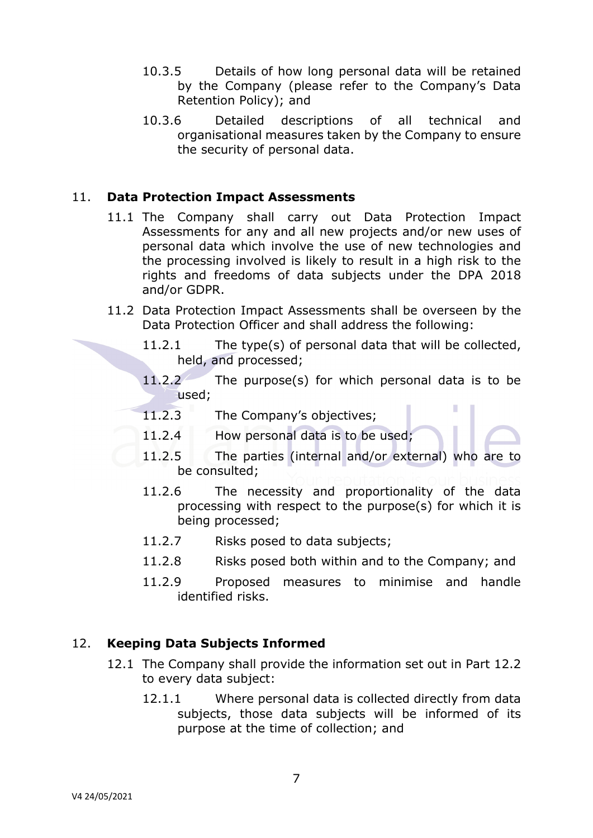- 10.3.5 Details of how long personal data will be retained by the Company (please refer to the Company's Data Retention Policy); and
- 10.3.6 Detailed descriptions of all technical and organisational measures taken by the Company to ensure the security of personal data.

## 11. **Data Protection Impact Assessments**

- 11.1 The Company shall carry out Data Protection Impact Assessments for any and all new projects and/or new uses of personal data which involve the use of new technologies and the processing involved is likely to result in a high risk to the rights and freedoms of data subjects under the DPA 2018 and/or GDPR.
- 11.2 Data Protection Impact Assessments shall be overseen by the Data Protection Officer and shall address the following:
	- 11.2.1 The type(s) of personal data that will be collected, held, and processed;
	- 11.2.2 The purpose(s) for which personal data is to be used;

I

- 11.2.3 The Company's objectives;
- 11.2.4 How personal data is to be used;
- 11.2.5 The parties (internal and/or external) who are to be consulted;
- 11.2.6 The necessity and proportionality of the data processing with respect to the purpose(s) for which it is being processed;
- 11.2.7 Risks posed to data subjects;
- 11.2.8 Risks posed both within and to the Company; and
- 11.2.9 Proposed measures to minimise and handle identified risks.

### 12. **Keeping Data Subjects Informed**

- 12.1 The Company shall provide the information set out in Part 12.2 to every data subject:
	- 12.1.1 Where personal data is collected directly from data subjects, those data subjects will be informed of its purpose at the time of collection; and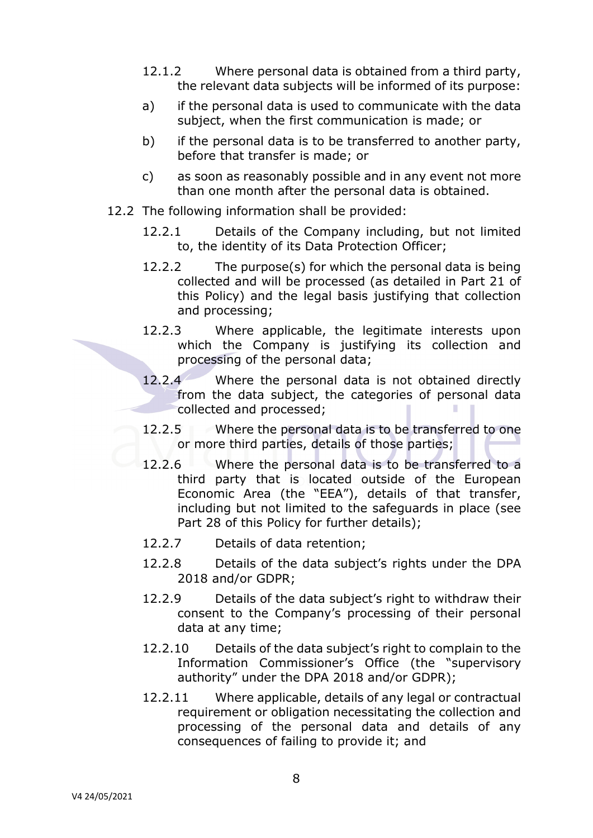- 12.1.2 Where personal data is obtained from a third party, the relevant data subjects will be informed of its purpose:
- a) if the personal data is used to communicate with the data subject, when the first communication is made; or
- b) if the personal data is to be transferred to another party, before that transfer is made; or
- c) as soon as reasonably possible and in any event not more than one month after the personal data is obtained.
- 12.2 The following information shall be provided:
	- 12.2.1 Details of the Company including, but not limited to, the identity of its Data Protection Officer;
	- 12.2.2 The purpose(s) for which the personal data is being collected and will be processed (as detailed in Part 21 of this Policy) and the legal basis justifying that collection and processing;
	- 12.2.3 Where applicable, the legitimate interests upon which the Company is justifying its collection and processing of the personal data;
	- 12.2.4 Where the personal data is not obtained directly from the data subject, the categories of personal data collected and processed;
	- 12.2.5 Where the personal data is to be transferred to one or more third parties, details of those parties;
	- 12.2.6 Where the personal data is to be transferred to a third party that is located outside of the European Economic Area (the "EEA"), details of that transfer, including but not limited to the safeguards in place (see Part 28 of this Policy for further details);
	- 12.2.7 Details of data retention;
	- 12.2.8 Details of the data subject's rights under the DPA 2018 and/or GDPR;
	- 12.2.9 Details of the data subject's right to withdraw their consent to the Company's processing of their personal data at any time;
	- 12.2.10 Details of the data subject's right to complain to the Information Commissioner's Office (the "supervisory authority" under the DPA 2018 and/or GDPR);
	- 12.2.11 Where applicable, details of any legal or contractual requirement or obligation necessitating the collection and processing of the personal data and details of any consequences of failing to provide it; and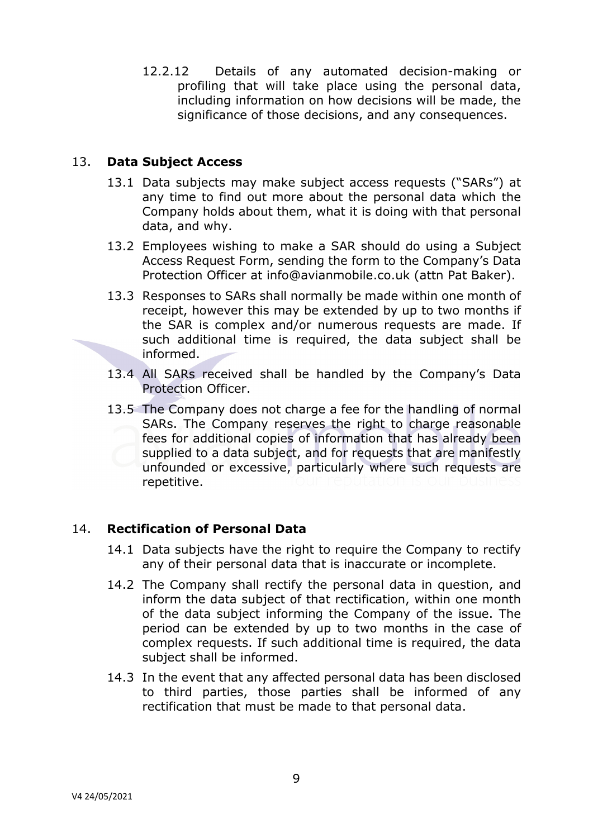12.2.12 Details of any automated decision-making or profiling that will take place using the personal data, including information on how decisions will be made, the significance of those decisions, and any consequences.

## 13. **Data Subject Access**

- 13.1 Data subjects may make subject access requests ("SARs") at any time to find out more about the personal data which the Company holds about them, what it is doing with that personal data, and why.
- 13.2 Employees wishing to make a SAR should do using a Subject Access Request Form, sending the form to the Company's Data Protection Officer at info@avianmobile.co.uk (attn Pat Baker).
- 13.3 Responses to SARs shall normally be made within one month of receipt, however this may be extended by up to two months if the SAR is complex and/or numerous requests are made. If such additional time is required, the data subject shall be informed.
- 13.4 All SARs received shall be handled by the Company's Data Protection Officer.
- 13.5 The Company does not charge a fee for the handling of normal SARs. The Company reserves the right to charge reasonable fees for additional copies of information that has already been supplied to a data subject, and for requests that are manifestly unfounded or excessive, particularly where such requests are repetitive.

### 14. **Rectification of Personal Data**

- 14.1 Data subjects have the right to require the Company to rectify any of their personal data that is inaccurate or incomplete.
- 14.2 The Company shall rectify the personal data in question, and inform the data subject of that rectification, within one month of the data subject informing the Company of the issue. The period can be extended by up to two months in the case of complex requests. If such additional time is required, the data subject shall be informed.
- 14.3 In the event that any affected personal data has been disclosed to third parties, those parties shall be informed of any rectification that must be made to that personal data.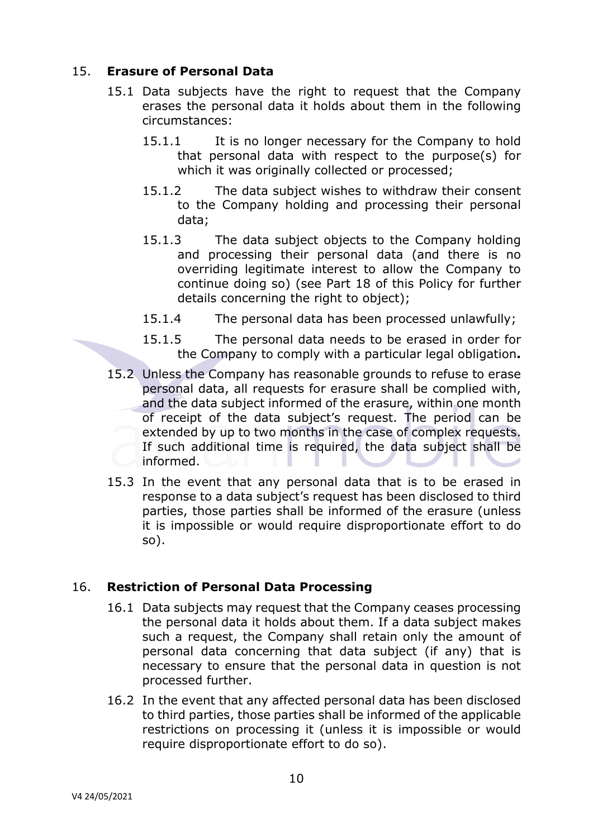## 15. **Erasure of Personal Data**

- 15.1 Data subjects have the right to request that the Company erases the personal data it holds about them in the following circumstances:
	- 15.1.1 It is no longer necessary for the Company to hold that personal data with respect to the purpose(s) for which it was originally collected or processed;
	- 15.1.2 The data subject wishes to withdraw their consent to the Company holding and processing their personal data;
	- 15.1.3 The data subject objects to the Company holding and processing their personal data (and there is no overriding legitimate interest to allow the Company to continue doing so) (see Part 18 of this Policy for further details concerning the right to object);
	- 15.1.4 The personal data has been processed unlawfully;
	- 15.1.5 The personal data needs to be erased in order for the Company to comply with a particular legal obligation**.**
- 15.2 Unless the Company has reasonable grounds to refuse to erase personal data, all requests for erasure shall be complied with, and the data subject informed of the erasure, within one month of receipt of the data subject's request. The period can be extended by up to two months in the case of complex requests. If such additional time is required, the data subject shall be informed.
- 15.3 In the event that any personal data that is to be erased in response to a data subject's request has been disclosed to third parties, those parties shall be informed of the erasure (unless it is impossible or would require disproportionate effort to do so).

### 16. **Restriction of Personal Data Processing**

- 16.1 Data subjects may request that the Company ceases processing the personal data it holds about them. If a data subject makes such a request, the Company shall retain only the amount of personal data concerning that data subject (if any) that is necessary to ensure that the personal data in question is not processed further.
- 16.2 In the event that any affected personal data has been disclosed to third parties, those parties shall be informed of the applicable restrictions on processing it (unless it is impossible or would require disproportionate effort to do so).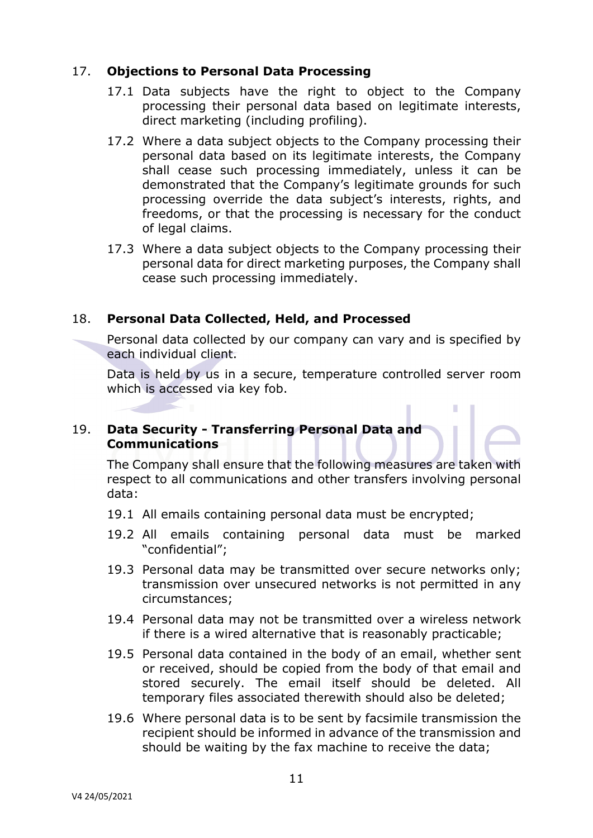## 17. **Objections to Personal Data Processing**

- 17.1 Data subjects have the right to object to the Company processing their personal data based on legitimate interests, direct marketing (including profiling).
- 17.2 Where a data subject objects to the Company processing their personal data based on its legitimate interests, the Company shall cease such processing immediately, unless it can be demonstrated that the Company's legitimate grounds for such processing override the data subject's interests, rights, and freedoms, or that the processing is necessary for the conduct of legal claims.
- 17.3 Where a data subject objects to the Company processing their personal data for direct marketing purposes, the Company shall cease such processing immediately.

## 18. **Personal Data Collected, Held, and Processed**

Personal data collected by our company can vary and is specified by each individual client.

Data is held by us in a secure, temperature controlled server room which is accessed via key fob.

I.

#### 19. **Data Security - Transferring Personal Data and Communications**

The Company shall ensure that the following measures are taken with respect to all communications and other transfers involving personal data:

- 19.1 All emails containing personal data must be encrypted;
- 19.2 All emails containing personal data must be marked "confidential";
- 19.3 Personal data may be transmitted over secure networks only; transmission over unsecured networks is not permitted in any circumstances;
- 19.4 Personal data may not be transmitted over a wireless network if there is a wired alternative that is reasonably practicable;
- 19.5 Personal data contained in the body of an email, whether sent or received, should be copied from the body of that email and stored securely. The email itself should be deleted. All temporary files associated therewith should also be deleted;
- 19.6 Where personal data is to be sent by facsimile transmission the recipient should be informed in advance of the transmission and should be waiting by the fax machine to receive the data;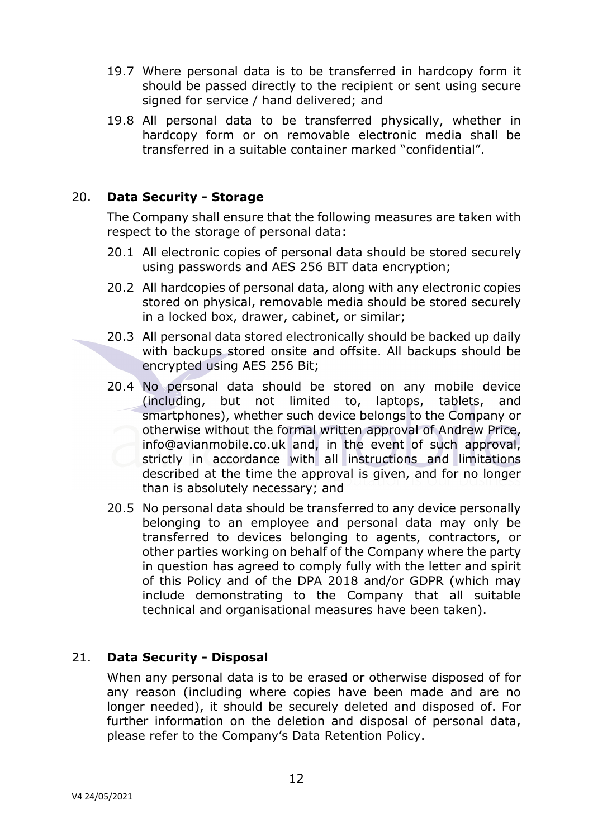- 19.7 Where personal data is to be transferred in hardcopy form it should be passed directly to the recipient or sent using secure signed for service / hand delivered; and
- 19.8 All personal data to be transferred physically, whether in hardcopy form or on removable electronic media shall be transferred in a suitable container marked "confidential".

### 20. **Data Security - Storage**

The Company shall ensure that the following measures are taken with respect to the storage of personal data:

- 20.1 All electronic copies of personal data should be stored securely using passwords and AES 256 BIT data encryption;
- 20.2 All hardcopies of personal data, along with any electronic copies stored on physical, removable media should be stored securely in a locked box, drawer, cabinet, or similar;
- 20.3 All personal data stored electronically should be backed up daily with backups stored onsite and offsite. All backups should be encrypted using AES 256 Bit;
- 20.4 No personal data should be stored on any mobile device (including, but not limited to, laptops, tablets, and smartphones), whether such device belongs to the Company or otherwise without the formal written approval of Andrew Price, info@avianmobile.co.uk and, in the event of such approval, strictly in accordance with all instructions and limitations described at the time the approval is given, and for no longer than is absolutely necessary; and
- 20.5 No personal data should be transferred to any device personally belonging to an employee and personal data may only be transferred to devices belonging to agents, contractors, or other parties working on behalf of the Company where the party in question has agreed to comply fully with the letter and spirit of this Policy and of the DPA 2018 and/or GDPR (which may include demonstrating to the Company that all suitable technical and organisational measures have been taken).

### 21. **Data Security - Disposal**

When any personal data is to be erased or otherwise disposed of for any reason (including where copies have been made and are no longer needed), it should be securely deleted and disposed of. For further information on the deletion and disposal of personal data, please refer to the Company's Data Retention Policy.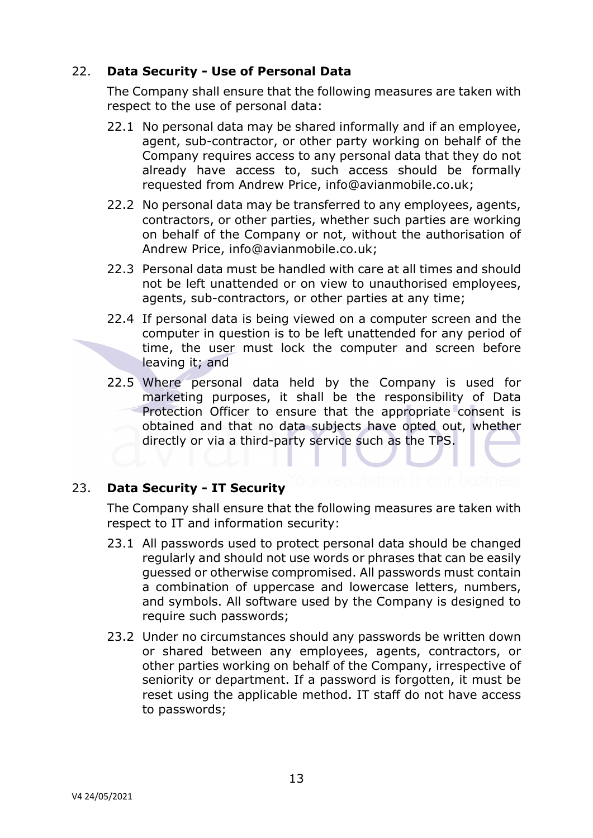## 22. **Data Security - Use of Personal Data**

The Company shall ensure that the following measures are taken with respect to the use of personal data:

- 22.1 No personal data may be shared informally and if an employee, agent, sub-contractor, or other party working on behalf of the Company requires access to any personal data that they do not already have access to, such access should be formally requested from Andrew Price, info@avianmobile.co.uk;
- 22.2 No personal data may be transferred to any employees, agents, contractors, or other parties, whether such parties are working on behalf of the Company or not, without the authorisation of Andrew Price, info@avianmobile.co.uk;
- 22.3 Personal data must be handled with care at all times and should not be left unattended or on view to unauthorised employees, agents, sub-contractors, or other parties at any time;
- 22.4 If personal data is being viewed on a computer screen and the computer in question is to be left unattended for any period of time, the user must lock the computer and screen before leaving it; and
- 22.5 Where personal data held by the Company is used for marketing purposes, it shall be the responsibility of Data Protection Officer to ensure that the appropriate consent is obtained and that no data subjects have opted out, whether directly or via a third-party service such as the TPS.

### 23. **Data Security - IT Security**

The Company shall ensure that the following measures are taken with respect to IT and information security:

- 23.1 All passwords used to protect personal data should be changed regularly and should not use words or phrases that can be easily guessed or otherwise compromised. All passwords must contain a combination of uppercase and lowercase letters, numbers, and symbols. All software used by the Company is designed to require such passwords;
- 23.2 Under no circumstances should any passwords be written down or shared between any employees, agents, contractors, or other parties working on behalf of the Company, irrespective of seniority or department. If a password is forgotten, it must be reset using the applicable method. IT staff do not have access to passwords;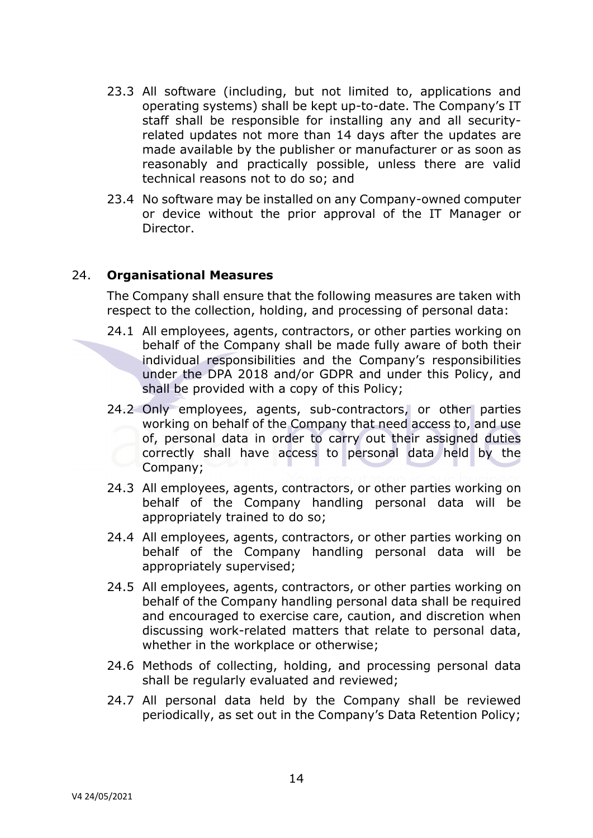- 23.3 All software (including, but not limited to, applications and operating systems) shall be kept up-to-date. The Company's IT staff shall be responsible for installing any and all securityrelated updates not more than 14 days after the updates are made available by the publisher or manufacturer or as soon as reasonably and practically possible, unless there are valid technical reasons not to do so; and
- 23.4 No software may be installed on any Company-owned computer or device without the prior approval of the IT Manager or Director.

### 24. **Organisational Measures**

The Company shall ensure that the following measures are taken with respect to the collection, holding, and processing of personal data:

- 24.1 All employees, agents, contractors, or other parties working on behalf of the Company shall be made fully aware of both their individual responsibilities and the Company's responsibilities under the DPA 2018 and/or GDPR and under this Policy, and shall be provided with a copy of this Policy;
- 24.2 Only employees, agents, sub-contractors, or other parties working on behalf of the Company that need access to, and use of, personal data in order to carry out their assigned duties correctly shall have access to personal data held by the Company;
- 24.3 All employees, agents, contractors, or other parties working on behalf of the Company handling personal data will be appropriately trained to do so;
- 24.4 All employees, agents, contractors, or other parties working on behalf of the Company handling personal data will be appropriately supervised;
- 24.5 All employees, agents, contractors, or other parties working on behalf of the Company handling personal data shall be required and encouraged to exercise care, caution, and discretion when discussing work-related matters that relate to personal data, whether in the workplace or otherwise;
- 24.6 Methods of collecting, holding, and processing personal data shall be regularly evaluated and reviewed;
- 24.7 All personal data held by the Company shall be reviewed periodically, as set out in the Company's Data Retention Policy;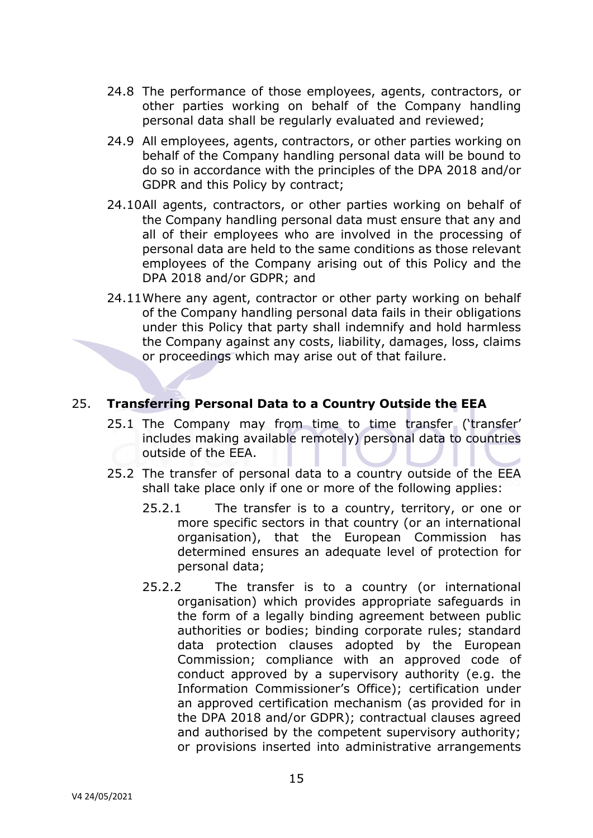- 24.8 The performance of those employees, agents, contractors, or other parties working on behalf of the Company handling personal data shall be regularly evaluated and reviewed;
- 24.9 All employees, agents, contractors, or other parties working on behalf of the Company handling personal data will be bound to do so in accordance with the principles of the DPA 2018 and/or GDPR and this Policy by contract;
- 24.10All agents, contractors, or other parties working on behalf of the Company handling personal data must ensure that any and all of their employees who are involved in the processing of personal data are held to the same conditions as those relevant employees of the Company arising out of this Policy and the DPA 2018 and/or GDPR; and
- 24.11Where any agent, contractor or other party working on behalf of the Company handling personal data fails in their obligations under this Policy that party shall indemnify and hold harmless the Company against any costs, liability, damages, loss, claims or proceedings which may arise out of that failure.

## 25. **Transferring Personal Data to a Country Outside the EEA**

- 25.1 The Company may from time to time transfer ('transfer' includes making available remotely) personal data to countries outside of the EEA.
- 25.2 The transfer of personal data to a country outside of the EEA shall take place only if one or more of the following applies:
	- 25.2.1 The transfer is to a country, territory, or one or more specific sectors in that country (or an international organisation), that the European Commission has determined ensures an adequate level of protection for personal data;
	- 25.2.2 The transfer is to a country (or international organisation) which provides appropriate safeguards in the form of a legally binding agreement between public authorities or bodies; binding corporate rules; standard data protection clauses adopted by the European Commission; compliance with an approved code of conduct approved by a supervisory authority (e.g. the Information Commissioner's Office); certification under an approved certification mechanism (as provided for in the DPA 2018 and/or GDPR); contractual clauses agreed and authorised by the competent supervisory authority; or provisions inserted into administrative arrangements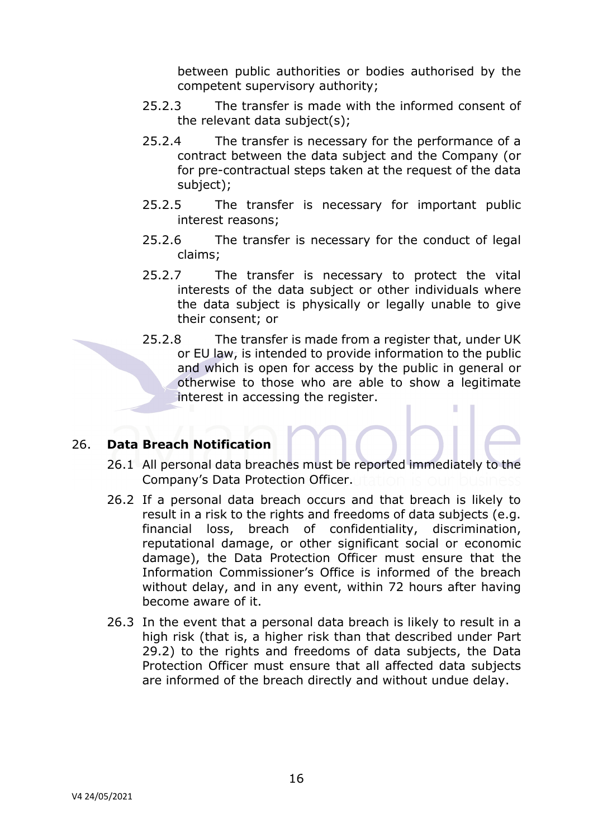between public authorities or bodies authorised by the competent supervisory authority;

- 25.2.3 The transfer is made with the informed consent of the relevant data subject(s);
- 25.2.4 The transfer is necessary for the performance of a contract between the data subject and the Company (or for pre-contractual steps taken at the request of the data subject);
- 25.2.5 The transfer is necessary for important public interest reasons;
- 25.2.6 The transfer is necessary for the conduct of legal claims;
- 25.2.7 The transfer is necessary to protect the vital interests of the data subject or other individuals where the data subject is physically or legally unable to give their consent; or
- 25.2.8 The transfer is made from a register that, under UK or EU law, is intended to provide information to the public and which is open for access by the public in general or otherwise to those who are able to show a legitimate interest in accessing the register. I

### 26. **Data Breach Notification**

- 26.1 All personal data breaches must be reported immediately to the Company's Data Protection Officer.
- 26.2 If a personal data breach occurs and that breach is likely to result in a risk to the rights and freedoms of data subjects (e.g. financial loss, breach of confidentiality, discrimination, reputational damage, or other significant social or economic damage), the Data Protection Officer must ensure that the Information Commissioner's Office is informed of the breach without delay, and in any event, within 72 hours after having become aware of it.
- 26.3 In the event that a personal data breach is likely to result in a high risk (that is, a higher risk than that described under Part 29.2) to the rights and freedoms of data subjects, the Data Protection Officer must ensure that all affected data subjects are informed of the breach directly and without undue delay.